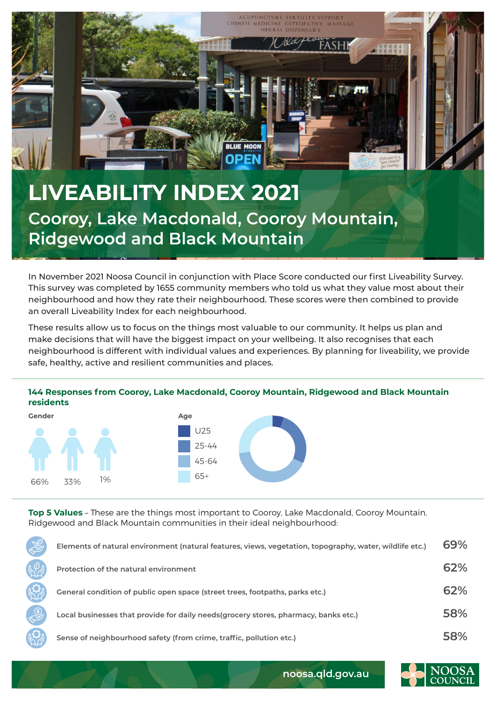

In November 2021 Noosa Council in conjunction with Place Score conducted our first Liveability Survey. This survey was completed by 1655 community members who told us what they value most about their neighbourhood and how they rate their neighbourhood. These scores were then combined to provide an overall Liveability Index for each neighbourhood.

These results allow us to focus on the things most valuable to our community. It helps us plan and make decisions that will have the biggest impact on your wellbeing. It also recognises that each neighbourhood is different with individual values and experiences. By planning for liveability, we provide safe, healthy, active and resilient communities and places.

## **144 Responses from Cooroy, Lake Macdonald, Cooroy Mountain, Ridgewood and Black Mountain residents**



**Top 5 Values** – These are the things most important to Cooroy, Lake Macdonald, Cooroy Mountain, Ridgewood and Black Mountain communities in their ideal neighbourhood:

| Elements of natural environment (natural features, views, vegetation, topography, water, wildlife etc.) | 69% |
|---------------------------------------------------------------------------------------------------------|-----|
| Protection of the natural environment                                                                   | 62% |
| General condition of public open space (street trees, footpaths, parks etc.)                            | 62% |
| Local businesses that provide for daily needs (grocery stores, pharmacy, banks etc.)                    | 58% |
| Sense of neighbourhood safety (from crime, traffic, pollution etc.)                                     | 58% |



**noosa.qld.gov.au**